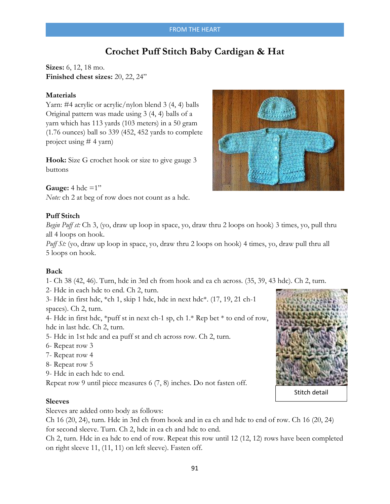## FROM THE HEART

# **Crochet Puff Stitch Baby Cardigan & Hat**

**Sizes:** 6, 12, 18 mo. **Finished chest sizes:** 20, 22, 24"

#### **Materials**

Yarn: #4 acrylic or acrylic/nylon blend 3 (4, 4) balls Original pattern was made using 3 (4, 4) balls of a yarn which has 113 yards (103 meters) in a 50 gram (1.76 ounces) ball so 339 (452, 452 yards to complete project using # 4 yarn)

**Hook:** Size G crochet hook or size to give gauge 3 buttons

**Gauge:** 4 hdc  $=1$ " *Note:* ch 2 at beg of row does not count as a hdc.

## **Puff Stitch**

*Begin Puff st:* Ch 3, (yo, draw up loop in space, yo, draw thru 2 loops on hook) 3 times, yo, pull thru all 4 loops on hook.

*Puff St:* (yo, draw up loop in space, yo, draw thru 2 loops on hook) 4 times, yo, draw pull thru all 5 loops on hook.

#### **Back**

1- Ch 38 (42, 46). Turn, hdc in 3rd ch from hook and ea ch across. (35, 39, 43 hdc). Ch 2, turn.

2- Hdc in each hdc to end. Ch 2, turn.

3- Hdc in first hdc, \*ch 1, skip 1 hdc, hdc in next hdc\*. (17, 19, 21 ch-1 spaces). Ch 2, turn.

4- Hdc in first hdc, \*puff st in next ch-1 sp, ch 1.\* Rep bet \* to end of row, hdc in last hdc. Ch 2, turn.

- 5- Hdc in 1st hdc and ea puff st and ch across row. Ch 2, turn.
- 6- Repeat row 3
- 7- Repeat row 4
- 8- Repeat row 5
- 9- Hdc in each hdc to end.

Repeat row 9 until piece measures 6 (7, 8) inches. Do not fasten off.

#### **Sleeves**

Sleeves are added onto body as follows:

Ch 16 (20, 24), turn. Hdc in 3rd ch from hook and in ea ch and hdc to end of row. Ch 16 (20, 24) for second sleeve. Turn. Ch 2, hdc in ea ch and hdc to end.

Ch 2, turn. Hdc in ea hdc to end of row. Repeat this row until 12 (12, 12) rows have been completed on right sleeve 11, (11, 11) on left sleeve). Fasten off.





Stitch detail

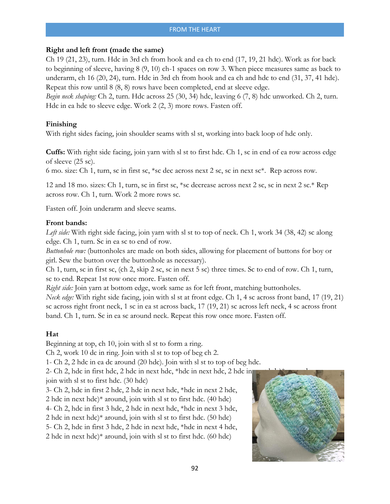## **Right and left front (made the same)**

Ch 19 (21, 23), turn. Hdc in 3rd ch from hook and ea ch to end (17, 19, 21 hdc). Work as for back to beginning of sleeve, having 8 (9, 10) ch-1 spaces on row 3. When piece measures same as back to underarm, ch 16 (20, 24), turn. Hdc in 3rd ch from hook and ea ch and hdc to end (31, 37, 41 hdc). Repeat this row until 8 (8, 8) rows have been completed, end at sleeve edge.

*Begin neck shaping:* Ch 2, turn. Hdc across 25 (30, 34) hdc, leaving 6 (7, 8) hdc unworked. Ch 2, turn. Hdc in ea hdc to sleeve edge. Work 2 (2, 3) more rows. Fasten off.

## **Finishing**

With right sides facing, join shoulder seams with sl st, working into back loop of hdc only.

**Cuffs:** With right side facing, join yarn with sl st to first hdc. Ch 1, sc in end of ea row across edge of sleeve (25 sc).

6 mo. size: Ch 1, turn, sc in first sc, \*sc dec across next 2 sc, sc in next sc\*. Rep across row.

12 and 18 mo. sizes: Ch 1, turn, sc in first sc, \*sc decrease across next 2 sc, sc in next 2 sc.\* Rep across row. Ch 1, turn. Work 2 more rows sc.

Fasten off. Join underarm and sleeve seams.

#### **Front bands:**

*Left side:* With right side facing, join yarn with sl st to top of neck. Ch 1, work 34 (38, 42) sc along edge. Ch 1, turn. Sc in ea sc to end of row.

*Buttonhole row:* (buttonholes are made on both sides, allowing for placement of buttons for boy or girl. Sew the button over the buttonhole as necessary).

Ch 1, turn, sc in first sc, (ch 2, skip 2 sc, sc in next 5 sc) three times. Sc to end of row. Ch 1, turn, sc to end. Repeat 1st row once more. Fasten off.

*Right side:* Join yarn at bottom edge, work same as for left front, matching buttonholes.

*Neck edge:* With right side facing, join with sl st at front edge. Ch 1, 4 sc across front band, 17 (19, 21) sc across right front neck, 1 sc in ea st across back, 17 (19, 21) sc across left neck, 4 sc across front band. Ch 1, turn. Sc in ea sc around neck. Repeat this row once more. Fasten off.

## **Hat**

Beginning at top, ch 10, join with sl st to form a ring.

Ch 2, work 10 dc in ring. Join with sl st to top of beg ch 2.

1- Ch 2, 2 hdc in ea dc around (20 hdc). Join with sl st to top of beg hdc.

2- Ch 2, hdc in first hdc,  $2$  hdc in next hdc,  $*$  hdc in next hdc,  $2$  hdc in join with sl st to first hdc. (30 hdc)

3- Ch 2, hdc in first 2 hdc, 2 hdc in next hdc, \*hdc in next 2 hdc, 2 hdc in next hdc)\* around, join with sl st to first hdc. (40 hdc) 4- Ch 2, hdc in first 3 hdc, 2 hdc in next hdc, \*hdc in next 3 hdc, 2 hdc in next hdc)\* around, join with sl st to first hdc. (50 hdc) 5- Ch 2, hdc in first 3 hdc, 2 hdc in next hdc, \*hdc in next 4 hdc, 2 hdc in next hdc)\* around, join with sl st to first hdc. (60 hdc)